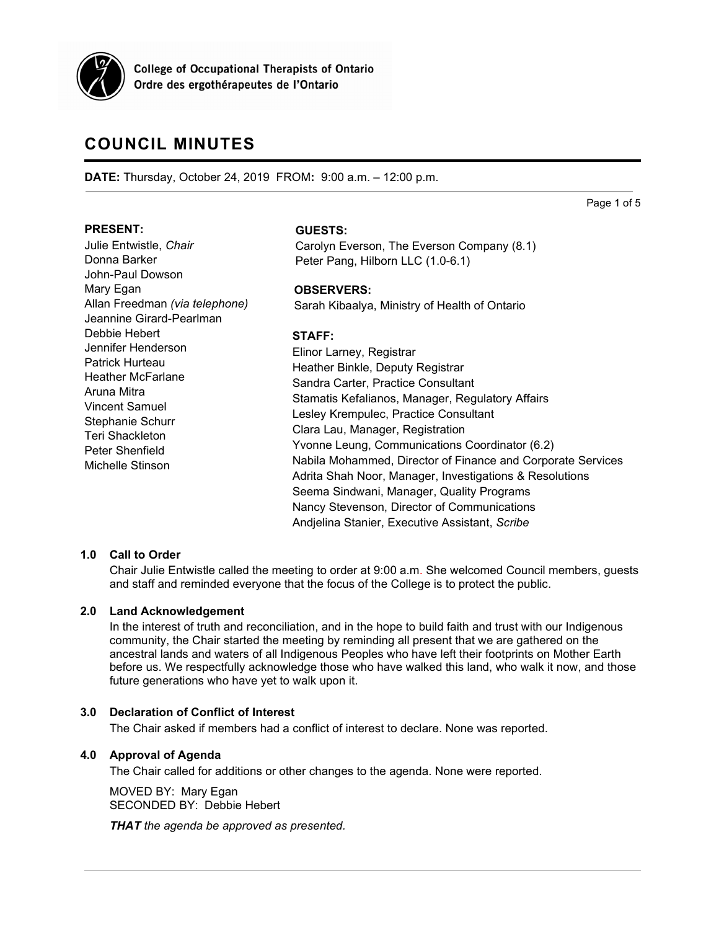

**College of Occupational Therapists of Ontario** Ordre des ergothérapeutes de l'Ontario

# **COUNCIL MINUTES**

**DATE:** Thursday, October 24, 2019 FROM**:** 9:00 a.m. – 12:00 p.m.

Page 1 of 5

#### **PRESENT:**

Julie Entwistle, *Chair* Donna Barker John-Paul Dowson Mary Egan Allan Freedman *(via telephone)* Jeannine Girard-Pearlman Debbie Hebert Jennifer Henderson Patrick Hurteau Heather McFarlane Aruna Mitra Vincent Samuel Stephanie Schurr Teri Shackleton Peter Shenfield Michelle Stinson

## **GUESTS:**

Carolyn Everson, The Everson Company (8.1) Peter Pang, Hilborn LLC (1.0-6.1)

#### **OBSERVERS:**

Sarah Kibaalya, Ministry of Health of Ontario

## **STAFF:**

Elinor Larney, Registrar Heather Binkle, Deputy Registrar Sandra Carter, Practice Consultant Stamatis Kefalianos, Manager, Regulatory Affairs Lesley Krempulec, Practice Consultant Clara Lau, Manager, Registration Yvonne Leung, Communications Coordinator (6.2) Nabila Mohammed, Director of Finance and Corporate Services Adrita Shah Noor, Manager, Investigations & Resolutions Seema Sindwani, Manager, Quality Programs Nancy Stevenson, Director of Communications Andjelina Stanier, Executive Assistant, *Scribe*

## **1.0 Call to Order**

Chair Julie Entwistle called the meeting to order at 9:00 a.m. She welcomed Council members, guests and staff and reminded everyone that the focus of the College is to protect the public.

## **2.0 Land Acknowledgement**

In the interest of truth and reconciliation, and in the hope to build faith and trust with our Indigenous community, the Chair started the meeting by reminding all present that we are gathered on the ancestral lands and waters of all Indigenous Peoples who have left their footprints on Mother Earth before us. We respectfully acknowledge those who have walked this land, who walk it now, and those future generations who have yet to walk upon it.

## **3.0 Declaration of Conflict of Interest**

The Chair asked if members had a conflict of interest to declare. None was reported.

## **4.0 Approval of Agenda**

The Chair called for additions or other changes to the agenda. None were reported.

MOVED BY: Mary Egan SECONDED BY: Debbie Hebert

*THAT the agenda be approved as presented.*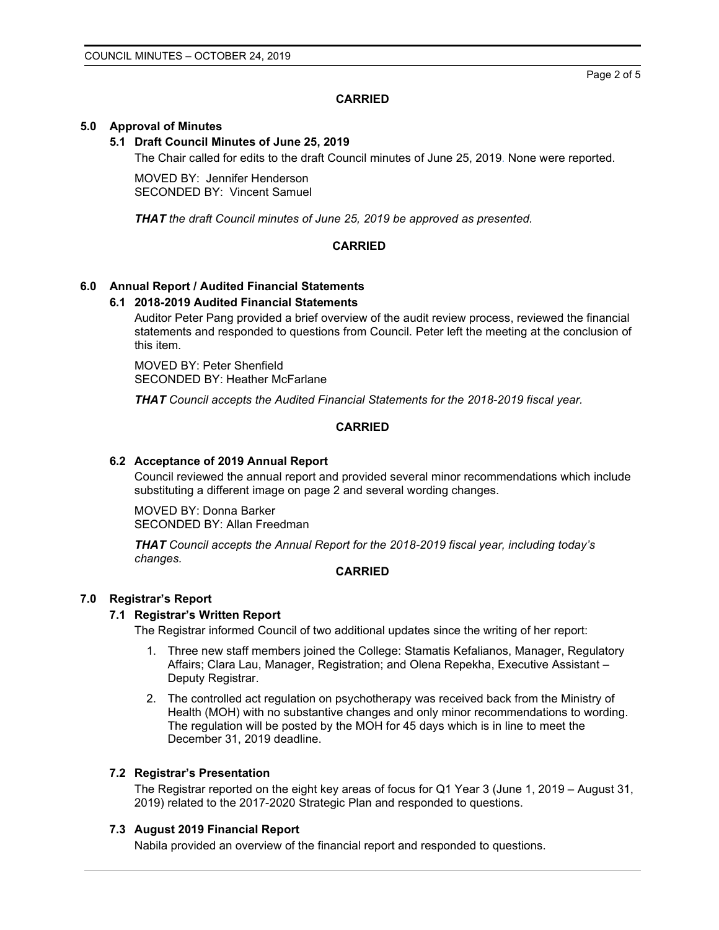Page 2 of 5

# **CARRIED**

## **5.0 Approval of Minutes**

## **5.1 Draft Council Minutes of June 25, 2019**

The Chair called for edits to the draft Council minutes of June 25, 2019. None were reported.

MOVED BY: Jennifer Henderson SECONDED BY: Vincent Samuel

*THAT the draft Council minutes of June 25, 2019 be approved as presented.*

# **CARRIED**

## **6.0 Annual Report / Audited Financial Statements**

## **6.1 2018-2019 Audited Financial Statements**

Auditor Peter Pang provided a brief overview of the audit review process, reviewed the financial statements and responded to questions from Council. Peter left the meeting at the conclusion of this item.

MOVED BY: Peter Shenfield SECONDED BY: Heather McFarlane

*THAT Council accepts the Audited Financial Statements for the 2018-2019 fiscal year.*

# **CARRIED**

## **6.2 Acceptance of 2019 Annual Report**

Council reviewed the annual report and provided several minor recommendations which include substituting a different image on page 2 and several wording changes.

MOVED BY: Donna Barker SECONDED BY: Allan Freedman

*THAT Council accepts the Annual Report for the 2018-2019 fiscal year, including today's changes.*

## **CARRIED**

## **7.0 Registrar's Report**

## **7.1 Registrar's Written Report**

The Registrar informed Council of two additional updates since the writing of her report:

- 1. Three new staff members joined the College: Stamatis Kefalianos, Manager, Regulatory Affairs; Clara Lau, Manager, Registration; and Olena Repekha, Executive Assistant – Deputy Registrar.
- 2. The controlled act regulation on psychotherapy was received back from the Ministry of Health (MOH) with no substantive changes and only minor recommendations to wording. The regulation will be posted by the MOH for 45 days which is in line to meet the December 31, 2019 deadline.

## **7.2 Registrar's Presentation**

The Registrar reported on the eight key areas of focus for Q1 Year 3 (June 1, 2019 – August 31, 2019) related to the 2017-2020 Strategic Plan and responded to questions.

## **7.3 August 2019 Financial Report**

Nabila provided an overview of the financial report and responded to questions.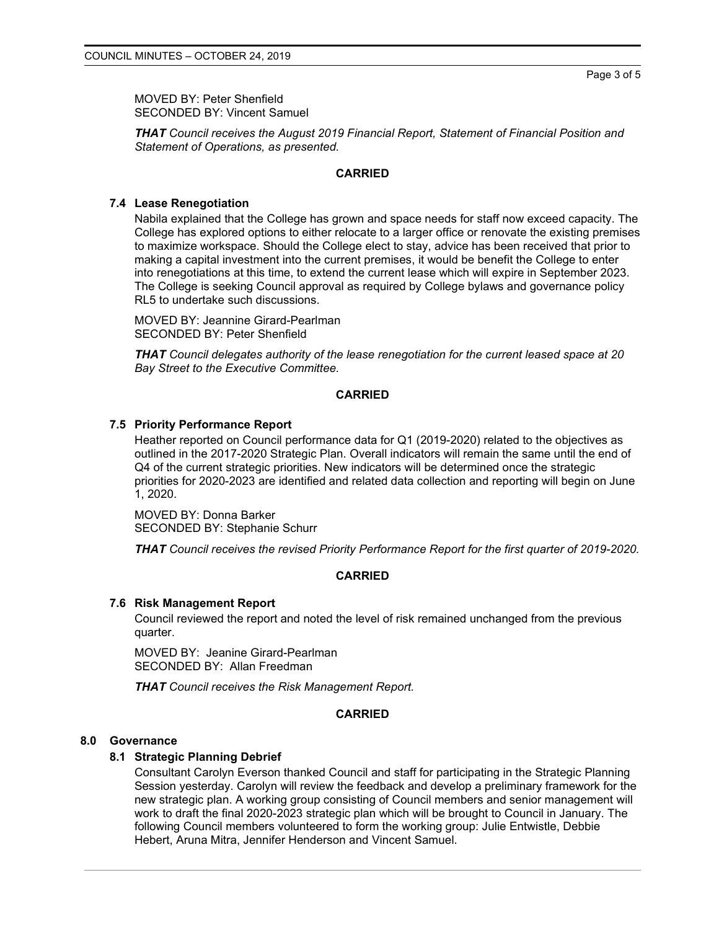MOVED BY: Peter Shenfield SECONDED BY: Vincent Samuel

*THAT Council receives the August 2019 Financial Report, Statement of Financial Position and Statement of Operations, as presented.*

#### **CARRIED**

## **7.4 Lease Renegotiation**

Nabila explained that the College has grown and space needs for staff now exceed capacity. The College has explored options to either relocate to a larger office or renovate the existing premises to maximize workspace. Should the College elect to stay, advice has been received that prior to making a capital investment into the current premises, it would be benefit the College to enter into renegotiations at this time, to extend the current lease which will expire in September 2023. The College is seeking Council approval as required by College bylaws and governance policy RL5 to undertake such discussions.

MOVED BY: Jeannine Girard-Pearlman SECONDED BY: Peter Shenfield

*THAT Council delegates authority of the lease renegotiation for the current leased space at 20 Bay Street to the Executive Committee.*

## **CARRIED**

#### **7.5 Priority Performance Report**

Heather reported on Council performance data for Q1 (2019-2020) related to the objectives as outlined in the 2017-2020 Strategic Plan. Overall indicators will remain the same until the end of Q4 of the current strategic priorities. New indicators will be determined once the strategic priorities for 2020-2023 are identified and related data collection and reporting will begin on June 1, 2020.

MOVED BY: Donna Barker SECONDED BY: Stephanie Schurr

*THAT Council receives the revised Priority Performance Report for the first quarter of 2019-2020.*

#### **CARRIED**

#### **7.6 Risk Management Report**

Council reviewed the report and noted the level of risk remained unchanged from the previous quarter.

MOVED BY: Jeanine Girard-Pearlman SECONDED BY: Allan Freedman

*THAT Council receives the Risk Management Report.*

#### **CARRIED**

#### **8.0 Governance**

#### **8.1 Strategic Planning Debrief**

Consultant Carolyn Everson thanked Council and staff for participating in the Strategic Planning Session yesterday. Carolyn will review the feedback and develop a preliminary framework for the new strategic plan. A working group consisting of Council members and senior management will work to draft the final 2020-2023 strategic plan which will be brought to Council in January. The following Council members volunteered to form the working group: Julie Entwistle, Debbie Hebert, Aruna Mitra, Jennifer Henderson and Vincent Samuel.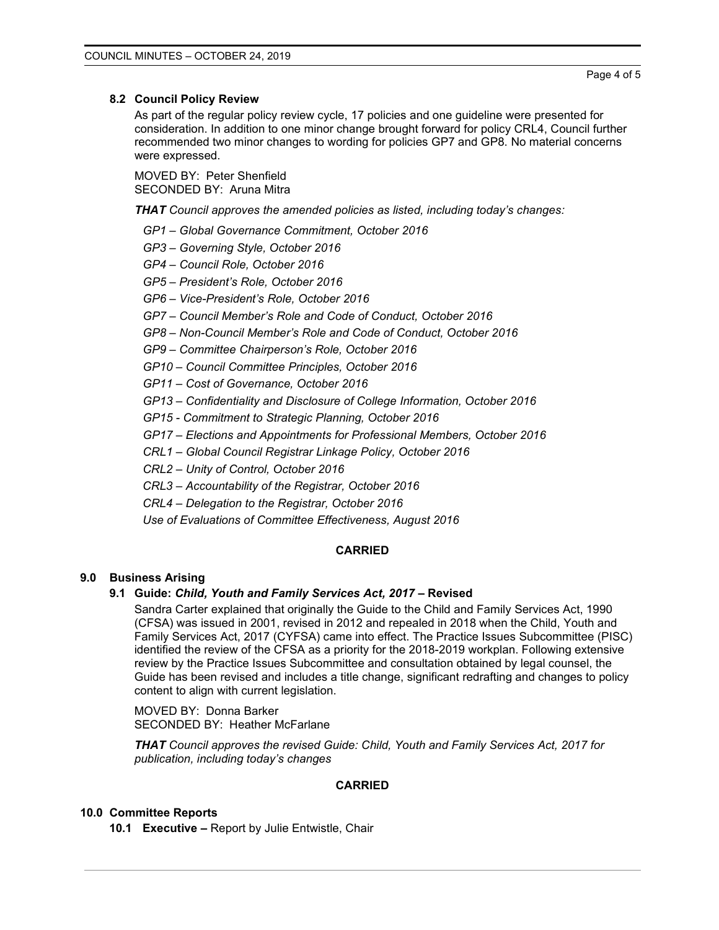## **8.2 Council Policy Review**

As part of the regular policy review cycle, 17 policies and one guideline were presented for consideration. In addition to one minor change brought forward for policy CRL4, Council further recommended two minor changes to wording for policies GP7 and GP8. No material concerns were expressed.

MOVED BY: Peter Shenfield SECONDED BY: Aruna Mitra

*THAT Council approves the amended policies as listed, including today's changes:*

- *GP1 – Global Governance Commitment, October 2016*
- *GP3 – Governing Style, October 2016*
- *GP4 – Council Role, October 2016*
- *GP5 – President's Role, October 2016*
- *GP6 – Vice-President's Role, October 2016*
- *GP7 – Council Member's Role and Code of Conduct, October 2016*
- *GP8 – Non-Council Member's Role and Code of Conduct, October 2016*
- *GP9 – Committee Chairperson's Role, October 2016*
- *GP10 – Council Committee Principles, October 2016*
- *GP11 – Cost of Governance, October 2016*
- *GP13 – Confidentiality and Disclosure of College Information, October 2016*
- *GP15 - Commitment to Strategic Planning, October 2016*
- *GP17 – Elections and Appointments for Professional Members, October 2016*
- *CRL1 – Global Council Registrar Linkage Policy, October 2016*
- *CRL2 – Unity of Control, October 2016*
- *CRL3 – Accountability of the Registrar, October 2016*
- *CRL4 – Delegation to the Registrar, October 2016*
- *Use of Evaluations of Committee Effectiveness, August 2016*

# **CARRIED**

# **9.0 Business Arising**

# **9.1 Guide:** *Child, Youth and Family Services Act, 2017 –* **Revised**

Sandra Carter explained that originally the Guide to the Child and Family Services Act, 1990 (CFSA) was issued in 2001, revised in 2012 and repealed in 2018 when the Child, Youth and Family Services Act, 2017 (CYFSA) came into effect. The Practice Issues Subcommittee (PISC) identified the review of the CFSA as a priority for the 2018-2019 workplan. Following extensive review by the Practice Issues Subcommittee and consultation obtained by legal counsel, the Guide has been revised and includes a title change, significant redrafting and changes to policy content to align with current legislation.

MOVED BY: Donna Barker SECONDED BY: Heather McFarlane

*THAT Council approves the revised Guide: Child, Youth and Family Services Act, 2017 for publication, including today's changes*

# **CARRIED**

# **10.0 Committee Reports**

**10.1 Executive –** Report by Julie Entwistle, Chair